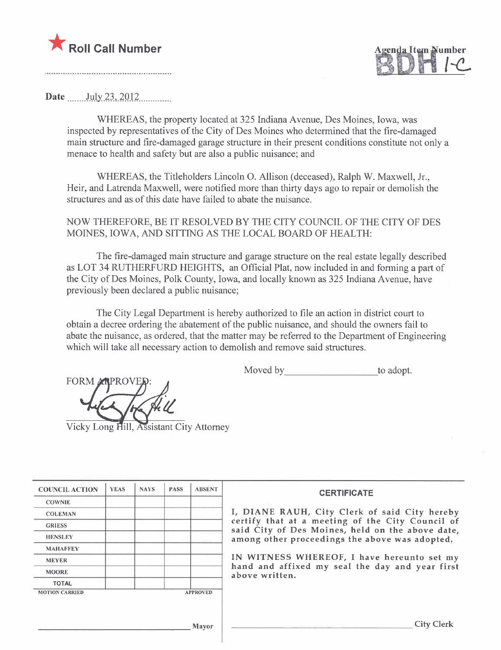



Date  $_{\text{July 23, 2012}}$ 

WHEREAS, the property located at 325 Indiana Avenue, Des Moines, Iowa, was inspected by representatives of the City of Des Moines who determined that the fire-damaged main structure and fire-damaged garage structure in their present conditions constitute not only a menace to health and safety but are also a public nuisance; and

WHEREAS, the Titleholders Lincoln O. Allison (deceased), Ralph W. Maxwell, Jr., Heir, and Latrenda Maxwell, were notified more than thirty days ago to repair or demolish the structures and as of this date have failed to abate the nuisance.

NOW THEREFORE, BE IT RESOLVED BY THE CITY COUNCIL OF THE CITY OF DES MOINES, IOWA, AND SITTING AS THE LOCAL BOARD OF HEALTH:

The fire-damaged main structure and garage structure on the real estate legally described as LOT 34 RUTHERFURD HEIGHTS, an Official Plat, now included in and forming a part of the City of Des Moines, Polk County, Iowa, and locally known as 325 Indiana Avenue, have previously been declared a public nuisance;

The City Legal Department is hereby authorized to file an action in district court to obtain a decree ordering the abatement of the public nuisance, and should the owners fail to abate the nuisance, as ordered, that the matter may be referred to the Department of Engineering which will take all necessary action to demolish and remove said structures.

Moved by to adopt.

**FORM** 

Vicky Long Hill, Assistant City Attorney

| <b>COUNCIL ACTION</b> | <b>YEAS</b> | <b>NAYS</b> | <b>PASS</b> | <b>ABSENT</b>   | <b>CERTIFICATE</b>                                                                                   |
|-----------------------|-------------|-------------|-------------|-----------------|------------------------------------------------------------------------------------------------------|
| <b>COWNIE</b>         |             |             |             |                 |                                                                                                      |
| <b>COLEMAN</b>        |             |             |             |                 | I, DIANE RAUH, City Clerk of said City hereby                                                        |
| <b>GRIESS</b>         |             |             |             |                 | certify that at a meeting of the City Council of<br>said City of Des Moines, held on the above date, |
| <b>HENSLEY</b>        |             |             |             |                 | among other proceedings the above was adopted,                                                       |
| <b>MAHAFFEY</b>       |             |             |             |                 |                                                                                                      |
| <b>MEYER</b>          |             |             |             |                 | IN WITNESS WHEREOF, I have hereunto set my                                                           |
| <b>MOORE</b>          |             |             |             |                 | hand and affixed my seal the day and year first<br>above written.                                    |
| <b>TOTAL</b>          |             |             |             |                 |                                                                                                      |
| <b>MOTION CARRIED</b> |             |             |             | <b>APPROVED</b> |                                                                                                      |
|                       |             |             |             |                 |                                                                                                      |
|                       |             |             |             |                 |                                                                                                      |
|                       |             |             |             | Mayor           | City C                                                                                               |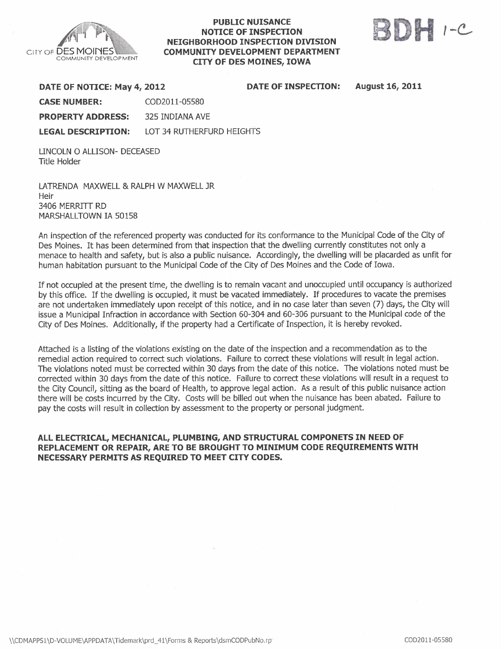

## PUBLIC NUISANCE NOTICE OF INSPECTION NEIGHBORHOOD INSPECTION DIVISION COMMUNITY DEVELOPMENT DEPARTMENT CITY OF DES MOINES, IOWA

**OF INSPECTION:** 



August 16, 2011

| DATE OF NOTICE: May 4, 2012 |                           | <b>DATE</b> |
|-----------------------------|---------------------------|-------------|
| <b>CASE NUMBER:</b>         | COD2011-05580             |             |
| <b>PROPERTY ADDRESS:</b>    | 325 INDIANA AVE           |             |
| <b>LEGAL DESCRIPTION:</b>   | LOT 34 RUTHERFURD HEIGHTS |             |

LINCOLN 0 ALLISON- DECEASED Title Holder

LATRENDA MAXWELL & RALPH W MAXWELL JR Heir 3406 MERRITT RD MARSHALLTOWN IA 50158

An inspection of the referenced property was conducted for its conformance to the Municipal Code of the City of Des Moines. It has been determined from that inspection that the dwellng currently constitutes not only a menace to health and safety, but is also a public nuisance. Accordingly, the dwelling will be placarded as unfit for human habitation pursuant to the Municipal Code of the City of Des Moines and the Code of Iowa.

If not occupied at the present time, the dwelling is to remain vacant and unoccupied until occupancy is authorized by this office. If the dwelling is occupied, it must be vacated immediately. If procedures to vacate the premises are not undertaken immediately upon receipt of this notice, and in no case later than seven (7) days, the City will issue a Municipal Infraction in accordance with Section 60-304 and 60-306 pursuant to the Municipal code of the City of Des Moines. Additionally, if the property had a Certificate of Inspection, it is hereby revoked.

Attached is a listing of the violations existing on the date of the inspection and a recommendation as to the remedial action required to correct such violations. Failure to correct these violations will result in legal action. The violations noted must be corrected within 30 days from the date of this notice. The violations noted must be corrected within 30 days from the date of this notice. Failure to correct these violations will result in a request to the City Council, sitting as the board of Health, to approve legal action. As a result of this public nuisance action there will be costs incurred by the City. Costs will be biled out when the nuisance has been abated. Failure to pay the costs will result in collection by assessment to the property or personal judgment.

## ALL ELECTRICAL, MECHANICAL, PLUMBING, AND STRUCTURAL COMPONETS IN NEED OF REPLACEMENT OR REPAIR, ARE TO BE BROUGHT TO MINIMUM CODE REQUIREMENTS WITH NECESSARY PERMITS AS REQUIRED TO MEET CITY CODES.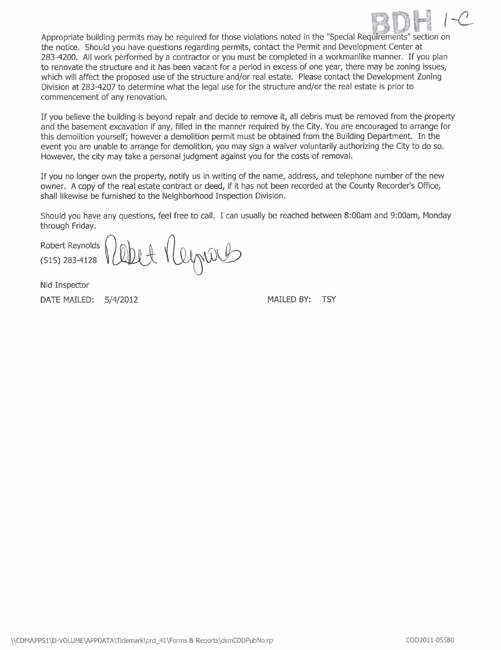

Appropriate building permits may be required for those violations noted in the "Special Requirements" section on the notice. Should you have questions regarding permits, contact the Permit and Development Center at 283-4200. All work performed by a contractor or you must be completed in a workmanlike manner. If you plan to renovate the structure and it has been vacant for a period in excess of one year, there may be zoning issues, which will affect the proposed use of the structure and/or real estate. Please contact the Development Zoning Division at 283-4207 to determine what the legal use for the structure and/or the real estate is prior to commencement of any renovation.

If you believe the building is beyond repair and decide to remove it, all debris must be removed from the property and the basement excavation if any, filled in the manner required by the City. You are encouraged to arrange for this demolition yourself; however a demolition permit must be obtained from the Building Department. In the event you are unable to arrange for demolition, you may sign a waiver voluntarily authorizing the City to do so. However, the city may take a personal judgment against you for the costs of removaL.

If you no longer own the property, notify us in writing of the name, address, and telephone number of the new owner. A copy of the real estate contract or deed, if it has not been recorded at the County Recorder's Office, shall likewise be furnished to the Neighborhood Inspection Division.

Should you have any questions, feel free to call. I can usually be reached between 8:00am and 9:00am, Monday through Friday.

Robert Reynolds

Robert Reynolds (2002) {\ leggent Dep

Nid Inspector

DATE MAILED: 5/4/2012 MAILED BY: TSY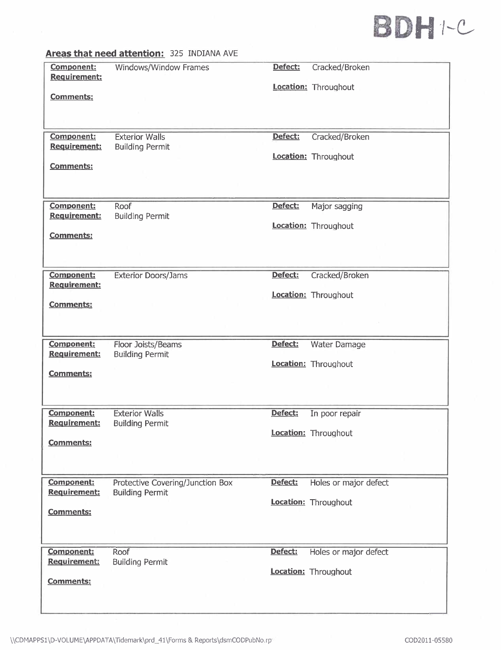

|                                          | Areas that need attention: 325 INDIANA AVE   |         |                                        |
|------------------------------------------|----------------------------------------------|---------|----------------------------------------|
| Component:<br><b>Requirement:</b>        | Windows/Window Frames                        | Defect: | Cracked/Broken<br>Location: Throughout |
| Comments:                                |                                              |         |                                        |
|                                          |                                              |         |                                        |
|                                          |                                              |         |                                        |
| Component:                               | <b>Exterior Walls</b>                        | Defect: | Cracked/Broken                         |
| <b>Requirement:</b>                      | <b>Building Permit</b>                       |         | Location: Throughout                   |
| <b>Comments:</b>                         |                                              |         |                                        |
|                                          |                                              |         |                                        |
|                                          |                                              |         |                                        |
| Component:                               | Roof                                         | Defect: | Major sagging                          |
| Requirement:                             | <b>Building Permit</b>                       |         | Location: Throughout                   |
| <b>Comments:</b>                         |                                              |         |                                        |
|                                          |                                              |         |                                        |
|                                          |                                              |         |                                        |
| <b>Component:</b><br><b>Requirement:</b> | <b>Exterior Doors/Jams</b>                   | Defect: | Cracked/Broken                         |
|                                          |                                              |         | Location: Throughout                   |
| <b>Comments:</b>                         |                                              |         |                                        |
|                                          |                                              |         |                                        |
|                                          |                                              |         |                                        |
| Component:<br>Requirement:               | Floor Joists/Beams<br><b>Building Permit</b> | Defect: | Water Damage                           |
|                                          |                                              |         | Location: Throughout                   |
| <b>Comments:</b>                         |                                              |         |                                        |
|                                          |                                              |         |                                        |
| <b>Component:</b>                        | <b>Exterior Walls</b>                        | Defect: |                                        |
| <b>Requirement:</b>                      | <b>Building Permit</b>                       |         | In poor repair                         |
|                                          |                                              |         | Location: Throughout                   |
| <b>Comments:</b>                         |                                              |         |                                        |
|                                          |                                              |         |                                        |
| <b>Component:</b>                        | Protective Covering/Junction Box             | Defect: | Holes or major defect                  |
| <b>Requirement:</b>                      | <b>Building Permit</b>                       |         |                                        |
| <b>Comments:</b>                         |                                              |         | Location: Throughout                   |
|                                          |                                              |         |                                        |
|                                          |                                              |         |                                        |
| <b>Component:</b>                        | Roof                                         | Defect: | Holes or major defect                  |
| <b>Requirement:</b>                      | <b>Building Permit</b>                       |         |                                        |
| Comments:                                |                                              |         | Location: Throughout                   |
|                                          |                                              |         |                                        |
|                                          |                                              |         |                                        |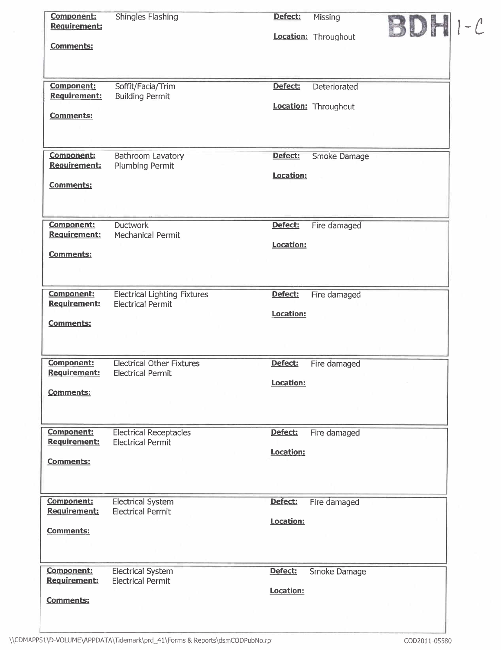| Component:<br>Requirement:               | <b>Shingles Flashing</b>                                        | Defect:          | Missing              |  |
|------------------------------------------|-----------------------------------------------------------------|------------------|----------------------|--|
| <b>Comments:</b>                         |                                                                 |                  | Location: Throughout |  |
| <b>Component:</b>                        | Soffit/Facia/Trim                                               | Defect:          | Deteriorated         |  |
| <b>Requirement:</b>                      | <b>Building Permit</b>                                          |                  | Location: Throughout |  |
| <b>Comments:</b>                         |                                                                 |                  |                      |  |
| <b>Component:</b>                        | Bathroom Lavatory                                               | Defect:          | Smoke Damage         |  |
| Requirement:                             | <b>Plumbing Permit</b>                                          | Location:        |                      |  |
| <b>Comments:</b>                         |                                                                 |                  |                      |  |
|                                          |                                                                 |                  |                      |  |
| <b>Component:</b><br><b>Requirement:</b> | <b>Ductwork</b><br><b>Mechanical Permit</b>                     | Defect:          | Fire damaged         |  |
| <b>Comments:</b>                         |                                                                 | Location:        |                      |  |
|                                          |                                                                 |                  |                      |  |
| Component:<br><b>Requirement:</b>        | <b>Electrical Lighting Fixtures</b><br><b>Electrical Permit</b> | Defect:          | Fire damaged         |  |
|                                          |                                                                 | <b>Location:</b> |                      |  |
| <b>Comments:</b>                         |                                                                 |                  |                      |  |
| <b>Component:</b><br>Requirement:        | <b>Electrical Other Fixtures</b><br><b>Electrical Permit</b>    | Defect:          | Fire damaged         |  |
| <b>Comments:</b>                         |                                                                 | Location:        |                      |  |
|                                          |                                                                 |                  |                      |  |
| <b>Component:</b>                        | <b>Electrical Receptacles</b>                                   | Defect:          | Fire damaged         |  |
| <b>Requirement:</b>                      | <b>Electrical Permit</b>                                        | Location:        |                      |  |
| <b>Comments:</b>                         |                                                                 |                  |                      |  |
| Component:                               | <b>Electrical System</b>                                        | Defect:          | Fire damaged         |  |
| <b>Requirement:</b>                      | <b>Electrical Permit</b>                                        | Location:        |                      |  |
| <b>Comments:</b>                         |                                                                 |                  |                      |  |
| <b>Component:</b><br><b>Requirement:</b> | <b>Electrical System</b><br><b>Electrical Permit</b>            | Defect:          | Smoke Damage         |  |
|                                          |                                                                 | Location:        |                      |  |
| <b>Comments:</b>                         |                                                                 |                  |                      |  |
|                                          |                                                                 |                  |                      |  |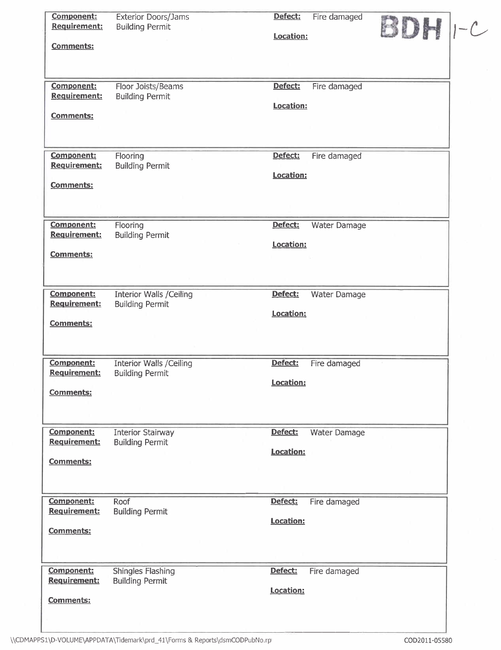| <b>Component:</b><br><b>Requirement:</b><br><b>Comments:</b> | <b>Exterior Doors/Jams</b><br><b>Building Permit</b>      | Defect:<br>Location:        | Fire damaged        | $BDH$ $-c$ |  |
|--------------------------------------------------------------|-----------------------------------------------------------|-----------------------------|---------------------|------------|--|
| Component:<br><b>Requirement:</b><br><b>Comments:</b>        | Floor Joists/Beams<br><b>Building Permit</b>              | Defect:<br>Location:        | Fire damaged        |            |  |
| <b>Component:</b><br><b>Requirement:</b><br><b>Comments:</b> | Flooring<br><b>Building Permit</b>                        | Defect:<br>Location:        | Fire damaged        |            |  |
| <b>Component:</b><br>Requirement:<br><b>Comments:</b>        | Flooring<br><b>Building Permit</b>                        | Defect:<br>Location:        | Water Damage        |            |  |
| <b>Component:</b><br>Requirement:<br>Comments:               | <b>Interior Walls / Ceiling</b><br><b>Building Permit</b> | Defect:<br>Location:        | Water Damage        |            |  |
| <b>Component:</b><br>Requirement:<br><b>Comments:</b>        | <b>Interior Walls /Ceiling</b><br><b>Building Permit</b>  | Defect:<br>Location:        | Fire damaged        |            |  |
| <b>Component:</b><br>Requirement:<br><b>Comments:</b>        | <b>Interior Stairway</b><br><b>Building Permit</b>        | Defect:<br>Location:        | <b>Water Damage</b> |            |  |
| <b>Component:</b><br><b>Requirement:</b><br>Comments:        | Roof<br><b>Building Permit</b>                            | Defect:<br><b>Location:</b> | Fire damaged        |            |  |
| <b>Component:</b><br>Requirement:<br><b>Comments:</b>        | <b>Shingles Flashing</b><br><b>Building Permit</b>        | Defect:<br>Location:        | Fire damaged        |            |  |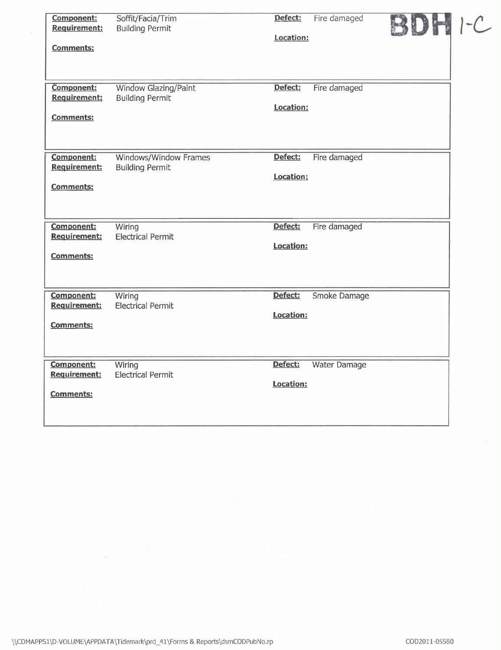| <b>Component:</b><br><b>Requirement:</b><br><b>Comments:</b> | Soffit/Facia/Trim<br><b>Building Permit</b>            | Defect:<br>Location:        | Fire damaged        | $-$ |
|--------------------------------------------------------------|--------------------------------------------------------|-----------------------------|---------------------|-----|
| Component:<br><b>Requirement:</b><br>Comments:               | <b>Window Glazing/Paint</b><br><b>Building Permit</b>  | Defect:<br>Location:        | Fire damaged        |     |
| <b>Component:</b><br><b>Requirement:</b><br><b>Comments:</b> | <b>Windows/Window Frames</b><br><b>Building Permit</b> | Defect:<br>Location:        | Fire damaged        |     |
| <b>Component:</b><br><b>Requirement:</b><br><b>Comments:</b> | Wiring<br><b>Electrical Permit</b>                     | Defect:<br>Location:        | Fire damaged        |     |
| <b>Component:</b><br><b>Requirement:</b><br><b>Comments:</b> | Wiring<br><b>Electrical Permit</b>                     | Defect:<br>Location:        | Smoke Damage        |     |
| <b>Component:</b><br>Requirement:<br><b>Comments:</b>        | Wiring<br><b>Electrical Permit</b>                     | Defect:<br><b>Location:</b> | <b>Water Damage</b> |     |

 $\epsilon_{\rm{p}}=0$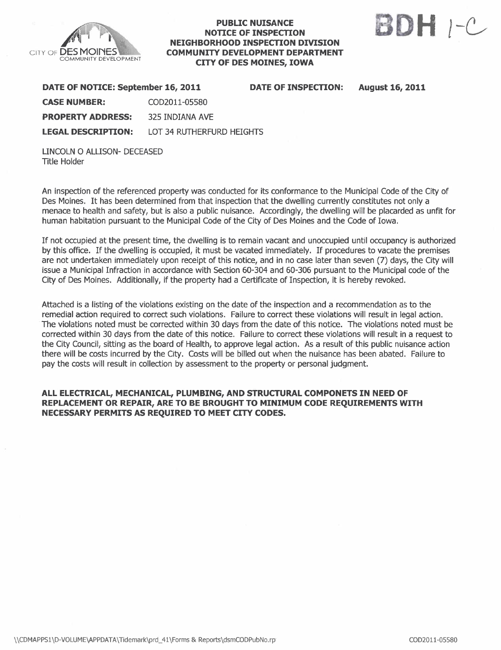

## PUBLIC NUISANCE NOTICE OF INSPECTON NEIGHBORHOOD INSPECTON DIVISION COMMUNITY DEVELOPMENT DEPARTMENT CITY OF DES MOINES, IOWA



August 16, 2011

| DATE OF NOTICE: September 16, 2011 | <b>DATE OF INSPECTION:</b> |  |
|------------------------------------|----------------------------|--|
| <b>CASE NUMBER:</b>                | COD2011-05580              |  |
| <b>PROPERTY ADDRESS:</b>           | 325 INDIANA AVE            |  |
| <b>LEGAL DESCRIPTION:</b>          | LOT 34 RUTHERFURD HEIGHTS  |  |

LINCOLN 0 ALUSON- DECEASED Title Holder

An inspection of the referenced property was conducted for its conformance to the Municipal Code of the City of Des Moines. It has been determined from that inspection that the dwelling currently constitutes not only a menace to health and safety, but is also a public nuisance. Accordingly, the dwelling will be placarded as unfit for human habitation pursuant to the Municipal Code of the City of Des Moines and the Code of Iowa.

If not occupied at the present time, the dwelling is to remain vacant and unoccupied until occupancy is authorized by this office. If the dwelling is occupied, it must be vacated immediately. If procedures to vacate the premises are not undertaken immediately upon receipt of this notice, and in no case later than seven (7) days, the City will issue a Municipal Infraction in accordance with Section 60-304 and 60-306 pursuant to the Municipal code of the City of Des Moines. Additionally, if the property had a Certificate of Inspection, it is hereby revoked.

Attached is a listing of the violations existing on the date of the inspection and a recommendation as to the remedial action required to correct such violations. Failure to correct these violations will result in legal action. The violations noted must be corrected within 30 days from the date of this notice. The violations noted must be corrected within 30 days from the date of this notice. Failure to correct these violations will result in a request to the City Council, sitting as the board of Health, to approve legal action. As a result of this public nuisance action there will be costs incurred by the City. Costs wil be biled out when the nuisance has been abated. Failure to pay the costs will result in collection by assessment to the property or personal judgment.

## ALL ELECTRICAL, MECHANICAL, PLUMBING, AND STRUCTURAL COMPONETS IN NEED OF REPLACEMENT OR REPAIR, ARE TO BE BROUGHT TO MINIMUM CODE REQUIREMENTS WITH NECESSARY PERMITS AS REQUIRED TO MEET CITY CODES.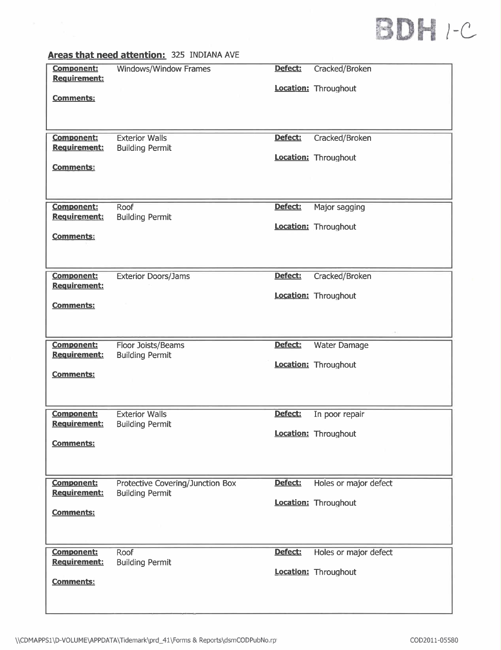

| <b>Component:</b>   | Windows/Window Frames            | Defect: | Cracked/Broken        |
|---------------------|----------------------------------|---------|-----------------------|
| Requirement:        |                                  |         |                       |
|                     |                                  |         |                       |
|                     |                                  |         | Location: Throughout  |
| <b>Comments:</b>    |                                  |         |                       |
|                     |                                  |         |                       |
|                     |                                  |         |                       |
| <b>Component:</b>   | <b>Exterior Walls</b>            | Defect: |                       |
| <b>Requirement:</b> |                                  |         | Cracked/Broken        |
|                     | <b>Building Permit</b>           |         |                       |
|                     |                                  |         | Location: Throughout  |
| <b>Comments:</b>    |                                  |         |                       |
|                     |                                  |         |                       |
|                     |                                  |         |                       |
| <b>Component:</b>   | Roof                             | Defect: | Major sagging         |
| <b>Requirement:</b> | <b>Building Permit</b>           |         |                       |
|                     |                                  |         | Location: Throughout  |
| <b>Comments:</b>    |                                  |         |                       |
|                     |                                  |         |                       |
|                     |                                  |         |                       |
|                     |                                  |         |                       |
| <b>Component:</b>   | <b>Exterior Doors/Jams</b>       | Defect: | Cracked/Broken        |
| Requirement:        |                                  |         |                       |
|                     |                                  |         | Location: Throughout  |
| <b>Comments:</b>    |                                  |         |                       |
|                     |                                  |         |                       |
|                     |                                  |         |                       |
|                     |                                  |         |                       |
| Component:          | Floor Joists/Beams               | Defect: | <b>Water Damage</b>   |
| <b>Requirement:</b> | <b>Building Permit</b>           |         |                       |
|                     |                                  |         | Location: Throughout  |
| <b>Comments:</b>    |                                  |         |                       |
|                     |                                  |         |                       |
|                     |                                  |         |                       |
| <b>Component:</b>   | <b>Exterior Walls</b>            | Defect: | In poor repair        |
| <b>Requirement:</b> | <b>Building Permit</b>           |         |                       |
|                     |                                  |         | Location: Throughout  |
| <b>Comments:</b>    |                                  |         |                       |
|                     |                                  |         |                       |
|                     |                                  |         |                       |
|                     |                                  |         |                       |
| <b>Component:</b>   | Protective Covering/Junction Box | Defect: | Holes or major defect |
| Requirement:        | <b>Building Permit</b>           |         |                       |
|                     |                                  |         | Location: Throughout  |
| <b>Comments:</b>    |                                  |         |                       |
|                     |                                  |         |                       |
|                     |                                  |         |                       |
| <b>Component:</b>   | Roof                             | Defect: |                       |
| Requirement:        | <b>Building Permit</b>           |         | Holes or major defect |
|                     |                                  |         | Location: Throughout  |
| <b>Comments:</b>    |                                  |         |                       |
|                     |                                  |         |                       |
|                     |                                  |         |                       |
|                     |                                  |         |                       |
|                     |                                  |         |                       |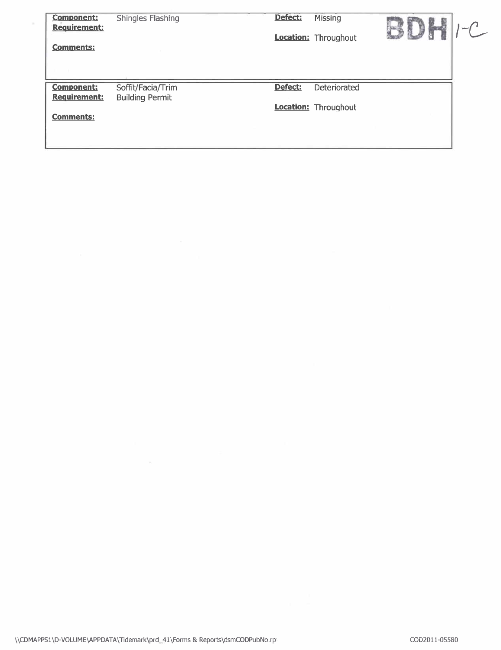| <b>Component:</b><br><b>Requirement:</b><br><b>Comments:</b> | <b>Shingles Flashing</b>                    | Defect: | <b>Missing</b><br><b>Location:</b> Throughout |  |
|--------------------------------------------------------------|---------------------------------------------|---------|-----------------------------------------------|--|
| <b>Component:</b><br><b>Requirement:</b><br><b>Comments:</b> | Soffit/Facia/Trim<br><b>Building Permit</b> | Defect: | Deteriorated<br>Location: Throughout          |  |

 $\lambda$